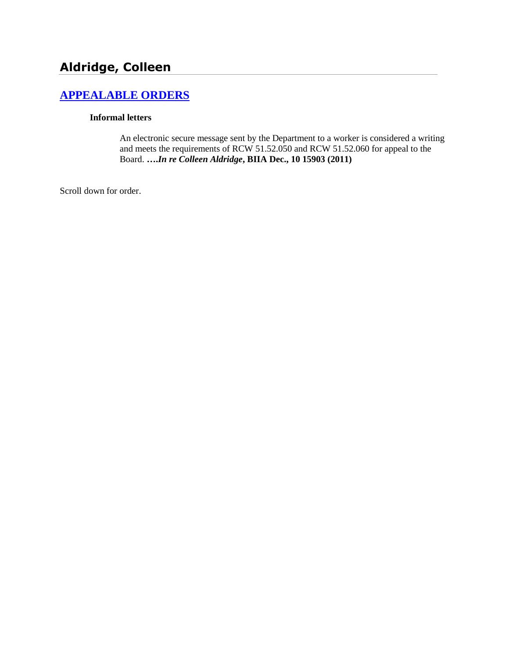# **Aldridge, Colleen**

## **[APPEALABLE ORDERS](http://www.biia.wa.gov/SDSubjectIndex.html#APPEALABLE_ORDERS)**

#### **Informal letters**

An electronic secure message sent by the Department to a worker is considered a writing and meets the requirements of RCW 51.52.050 and RCW 51.52.060 for appeal to the Board. **….***In re Colleen Aldridge***, BIIA Dec., 10 15903 (2011)**

Scroll down for order.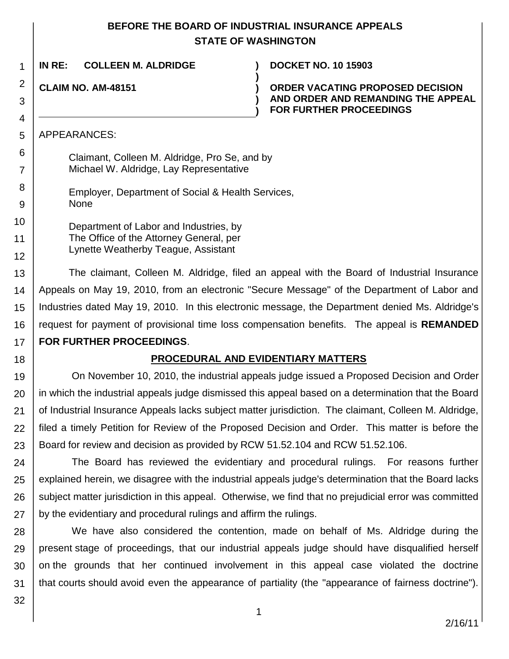### **BEFORE THE BOARD OF INDUSTRIAL INSURANCE APPEALS STATE OF WASHINGTON**

**)**

**) )**

**IN RE: COLLEEN M. ALDRIDGE ) DOCKET NO. 10 15903**

**CLAIM NO. AM-48151 )**

**ORDER VACATING PROPOSED DECISION AND ORDER AND REMANDING THE APPEAL FOR FURTHER PROCEEDINGS**

APPEARANCES:

| Claimant, Colleen M. Aldridge, Pro Se, and by |  |
|-----------------------------------------------|--|
| Michael W. Aldridge, Lay Representative       |  |

Employer, Department of Social & Health Services, None

Department of Labor and Industries, by The Office of the Attorney General, per Lynette Weatherby Teague, Assistant

13 14 15 16 17 The claimant, Colleen M. Aldridge, filed an appeal with the Board of Industrial Insurance Appeals on May 19, 2010, from an electronic "Secure Message" of the Department of Labor and Industries dated May 19, 2010. In this electronic message, the Department denied Ms. Aldridge's request for payment of provisional time loss compensation benefits. The appeal is **REMANDED FOR FURTHER PROCEEDINGS**.

18

1

2

3

4

5 6

7

8 9

10

11

12

### **PROCEDURAL AND EVIDENTIARY MATTERS**

19 20 21 22 23 On November 10, 2010, the industrial appeals judge issued a Proposed Decision and Order in which the industrial appeals judge dismissed this appeal based on a determination that the Board of Industrial Insurance Appeals lacks subject matter jurisdiction. The claimant, Colleen M. Aldridge, filed a timely Petition for Review of the Proposed Decision and Order. This matter is before the Board for review and decision as provided by RCW 51.52.104 and RCW 51.52.106.

24 25 26 27 The Board has reviewed the evidentiary and procedural rulings. For reasons further explained herein, we disagree with the industrial appeals judge's determination that the Board lacks subject matter jurisdiction in this appeal. Otherwise, we find that no prejudicial error was committed by the evidentiary and procedural rulings and affirm the rulings.

28 29 30 31 We have also considered the contention, made on behalf of Ms. Aldridge during the present stage of proceedings, that our industrial appeals judge should have disqualified herself on the grounds that her continued involvement in this appeal case violated the doctrine that courts should avoid even the appearance of partiality (the "appearance of fairness doctrine").

32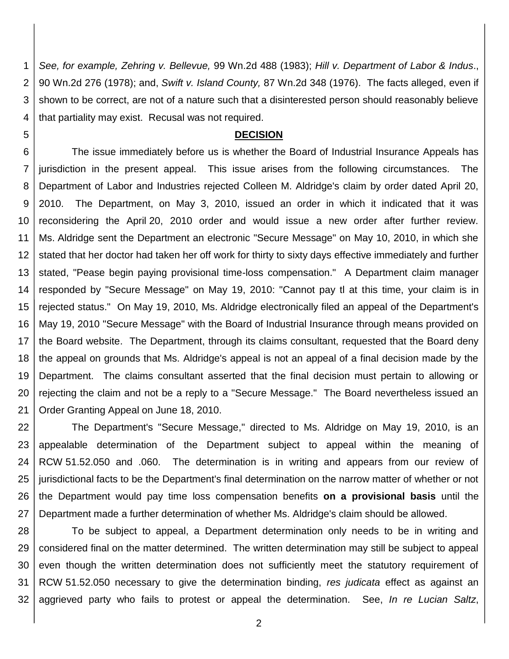1 2 3 4 *See, for example, Zehring v. Bellevue,* 99 Wn.2d 488 (1983); *Hill v. Department of Labor & Indus*., 90 Wn.2d 276 (1978); and, *Swift v. Island County,* 87 Wn.2d 348 (1976). The facts alleged, even if shown to be correct, are not of a nature such that a disinterested person should reasonably believe that partiality may exist. Recusal was not required.

#### **DECISION**

5

6 7 8 9 10 11 12 13 14 15 16 17 18 19 20 21 The issue immediately before us is whether the Board of Industrial Insurance Appeals has jurisdiction in the present appeal. This issue arises from the following circumstances. The Department of Labor and Industries rejected Colleen M. Aldridge's claim by order dated April 20, 2010. The Department, on May 3, 2010, issued an order in which it indicated that it was reconsidering the April 20, 2010 order and would issue a new order after further review. Ms. Aldridge sent the Department an electronic "Secure Message" on May 10, 2010, in which she stated that her doctor had taken her off work for thirty to sixty days effective immediately and further stated, "Pease begin paying provisional time-loss compensation." A Department claim manager responded by "Secure Message" on May 19, 2010: "Cannot pay tl at this time, your claim is in rejected status." On May 19, 2010, Ms. Aldridge electronically filed an appeal of the Department's May 19, 2010 "Secure Message" with the Board of Industrial Insurance through means provided on the Board website. The Department, through its claims consultant, requested that the Board deny the appeal on grounds that Ms. Aldridge's appeal is not an appeal of a final decision made by the Department. The claims consultant asserted that the final decision must pertain to allowing or rejecting the claim and not be a reply to a "Secure Message." The Board nevertheless issued an Order Granting Appeal on June 18, 2010.

22 23 24 25 26 27 The Department's "Secure Message," directed to Ms. Aldridge on May 19, 2010, is an appealable determination of the Department subject to appeal within the meaning of RCW 51.52.050 and .060. The determination is in writing and appears from our review of jurisdictional facts to be the Department's final determination on the narrow matter of whether or not the Department would pay time loss compensation benefits **on a provisional basis** until the Department made a further determination of whether Ms. Aldridge's claim should be allowed.

28 29 30 31 32 To be subject to appeal, a Department determination only needs to be in writing and considered final on the matter determined. The written determination may still be subject to appeal even though the written determination does not sufficiently meet the statutory requirement of RCW 51.52.050 necessary to give the determination binding, *res judicata* effect as against an aggrieved party who fails to protest or appeal the determination. See, *In re Lucian Saltz*,

2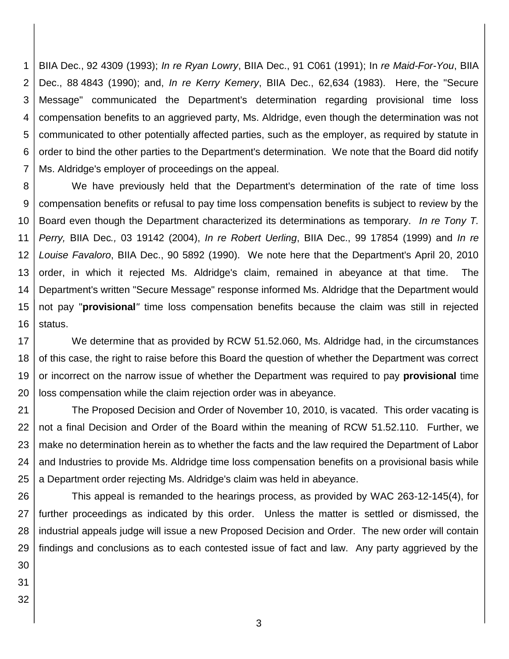1 2 3 4 5 6 7 BIIA Dec., 92 4309 (1993); *In re Ryan Lowry*, BIIA Dec., 91 C061 (1991); In *re Maid-For-You*, BIIA Dec., 88 4843 (1990); and, *In re Kerry Kemery*, BIIA Dec., 62,634 (1983). Here, the "Secure Message" communicated the Department's determination regarding provisional time loss compensation benefits to an aggrieved party, Ms. Aldridge, even though the determination was not communicated to other potentially affected parties, such as the employer, as required by statute in order to bind the other parties to the Department's determination. We note that the Board did notify Ms. Aldridge's employer of proceedings on the appeal.

8 9 10 11 12 13 14 15 16 We have previously held that the Department's determination of the rate of time loss compensation benefits or refusal to pay time loss compensation benefits is subject to review by the Board even though the Department characterized its determinations as temporary. *In re Tony T. Perry,* BIIA Dec*.,* 03 19142 (2004), *In re Robert Uerling*, BIIA Dec., 99 17854 (1999) and *In re Louise Favaloro*, BIIA Dec., 90 5892 (1990). We note here that the Department's April 20, 2010 order, in which it rejected Ms. Aldridge's claim, remained in abeyance at that time. The Department's written "Secure Message" response informed Ms. Aldridge that the Department would not pay "**provisional***"* time loss compensation benefits because the claim was still in rejected status.

17 18 19 20 We determine that as provided by RCW 51.52.060, Ms. Aldridge had, in the circumstances of this case, the right to raise before this Board the question of whether the Department was correct or incorrect on the narrow issue of whether the Department was required to pay **provisional** time loss compensation while the claim rejection order was in abeyance.

21 22 23 24 25 The Proposed Decision and Order of November 10, 2010, is vacated. This order vacating is not a final Decision and Order of the Board within the meaning of RCW 51.52.110. Further, we make no determination herein as to whether the facts and the law required the Department of Labor and Industries to provide Ms. Aldridge time loss compensation benefits on a provisional basis while a Department order rejecting Ms. Aldridge's claim was held in abeyance.

26 27 28 29 30 This appeal is remanded to the hearings process, as provided by WAC 263-12-145(4), for further proceedings as indicated by this order. Unless the matter is settled or dismissed, the industrial appeals judge will issue a new Proposed Decision and Order. The new order will contain findings and conclusions as to each contested issue of fact and law. Any party aggrieved by the

- 
- 31
- 32